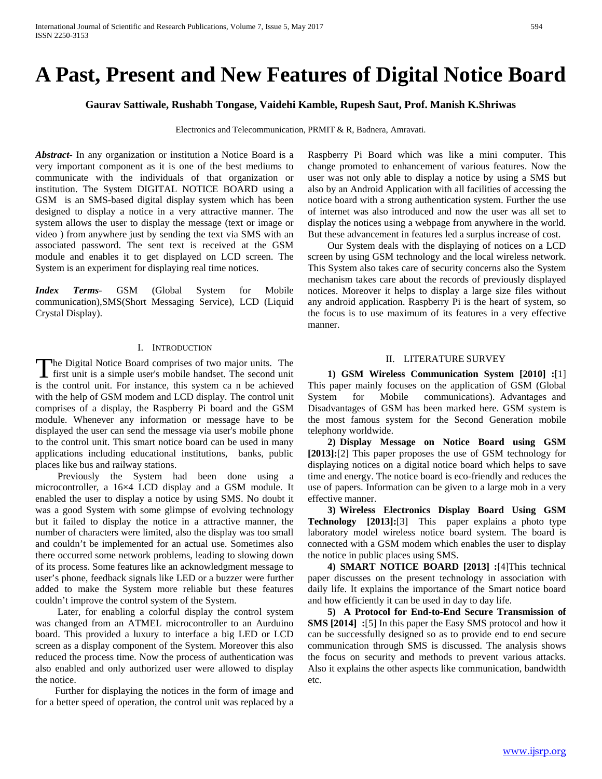# **A Past, Present and New Features of Digital Notice Board**

**Gaurav Sattiwale, Rushabh Tongase, Vaidehi Kamble, Rupesh Saut, Prof. Manish K.Shriwas**

Electronics and Telecommunication, PRMIT & R, Badnera, Amravati.

*Abstract***-** In any organization or institution a Notice Board is a very important component as it is one of the best mediums to communicate with the individuals of that organization or institution. The System DIGITAL NOTICE BOARD using a GSM is an SMS-based digital display system which has been designed to display a notice in a very attractive manner. The system allows the user to display the message (text or image or video ) from anywhere just by sending the text via SMS with an associated password. The sent text is received at the GSM module and enables it to get displayed on LCD screen. The System is an experiment for displaying real time notices.

*Index Terms*- GSM (Global System for Mobile communication),SMS(Short Messaging Service), LCD (Liquid Crystal Display).

#### I. INTRODUCTION

he Digital Notice Board comprises of two major units. The The Digital Notice Board comprises of two major units. The first unit is a simple user's mobile handset. The second unit is the control unit. For instance, this system ca n be achieved with the help of GSM modem and LCD display. The control unit comprises of a display, the Raspberry Pi board and the GSM module. Whenever any information or message have to be displayed the user can send the message via user's mobile phone to the control unit. This smart notice board can be used in many applications including educational institutions, banks, public places like bus and railway stations.

 Previously the System had been done using a microcontroller, a 16×4 LCD display and a GSM module. It enabled the user to display a notice by using SMS. No doubt it was a good System with some glimpse of evolving technology but it failed to display the notice in a attractive manner, the number of characters were limited, also the display was too small and couldn't be implemented for an actual use. Sometimes also there occurred some network problems, leading to slowing down of its process. Some features like an acknowledgment message to user's phone, feedback signals like LED or a buzzer were further added to make the System more reliable but these features couldn't improve the control system of the System.

 Later, for enabling a colorful display the control system was changed from an ATMEL microcontroller to an Aurduino board. This provided a luxury to interface a big LED or LCD screen as a display component of the System. Moreover this also reduced the process time. Now the process of authentication was also enabled and only authorized user were allowed to display the notice.

 Further for displaying the notices in the form of image and for a better speed of operation, the control unit was replaced by a Raspberry Pi Board which was like a mini computer. This change promoted to enhancement of various features. Now the user was not only able to display a notice by using a SMS but also by an Android Application with all facilities of accessing the notice board with a strong authentication system. Further the use of internet was also introduced and now the user was all set to display the notices using a webpage from anywhere in the world. But these advancement in features led a surplus increase of cost.

 Our System deals with the displaying of notices on a LCD screen by using GSM technology and the local wireless network. This System also takes care of security concerns also the System mechanism takes care about the records of previously displayed notices. Moreover it helps to display a large size files without any android application. Raspberry Pi is the heart of system, so the focus is to use maximum of its features in a very effective manner.

#### II. LITERATURE SURVEY

 **1) GSM Wireless Communication System [2010] :**[1] This paper mainly focuses on the application of GSM (Global System for Mobile communications). Advantages and Disadvantages of GSM has been marked here. GSM system is the most famous system for the Second Generation mobile telephony worldwide.

 **2) Display Message on Notice Board using GSM [2013]:**[2] This paper proposes the use of GSM technology for displaying notices on a digital notice board which helps to save time and energy. The notice board is eco-friendly and reduces the use of papers. Information can be given to a large mob in a very effective manner.

 **3) Wireless Electronics Display Board Using GSM Technology [2013]:**[3] This paper explains a photo type laboratory model wireless notice board system. The board is connected with a GSM modem which enables the user to display the notice in public places using SMS.

 **4) SMART NOTICE BOARD [2013] :**[4]This technical paper discusses on the present technology in association with daily life. It explains the importance of the Smart notice board and how efficiently it can be used in day to day life.

 **5) A Protocol for End-to-End Secure Transmission of SMS [2014] :**[5] In this paper the Easy SMS protocol and how it can be successfully designed so as to provide end to end secure communication through SMS is discussed. The analysis shows the focus on security and methods to prevent various attacks. Also it explains the other aspects like communication, bandwidth etc.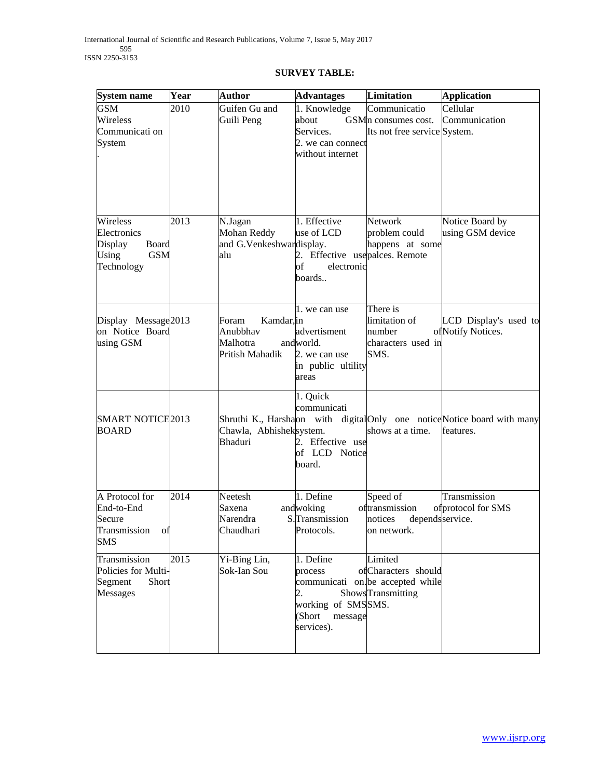## **SURVEY TABLE:**

| System name                                                                             | Year | <b>Author</b>                                                  | <b>Advantages</b>                                                                          | <b>Limitation</b>                                                                        | <b>Application</b>                                                                    |
|-----------------------------------------------------------------------------------------|------|----------------------------------------------------------------|--------------------------------------------------------------------------------------------|------------------------------------------------------------------------------------------|---------------------------------------------------------------------------------------|
| <b>GSM</b><br>Wireless<br>Communicati on<br>System                                      | 2010 | Guifen Gu and<br>Guili Peng                                    | 1. Knowledge<br>about<br>Services.<br>2. we can connect<br>without internet                | Communicatio<br>GSM <sub>n</sub> consumes cost.<br>Its not free service System.          | Cellular<br>Communication                                                             |
| Wireless<br>Electronics<br>Display<br><b>Board</b><br>Using<br><b>GSM</b><br>Technology | 2013 | N.Jagan<br>Mohan Reddy<br>and G.Venkeshwardisplay.<br>alu      | 1. Effective<br>use of LCD<br>2. Effective usepalces. Remote<br>of<br>electronic<br>boards | <b>Network</b><br>problem could<br>happens at some                                       | Notice Board by<br>using GSM device                                                   |
| Display Message 2013<br>on Notice Board<br>using GSM                                    |      | Kamdar, in<br>Foram<br>Anubbhav<br>Malhotra<br>Pritish Mahadik | 1. we can use<br>advertisment<br>andworld.<br>2. we can use<br>in public ultility<br>areas | There is<br>limitation of<br>number<br>characters used in<br>SMS.                        | LCD Display's used to<br>ofNotify Notices.                                            |
| <b>SMART NOTICE2013</b><br><b>BOARD</b>                                                 |      | Chawla, Abhisheksystem.<br>Bhaduri                             | 1. Quick<br>communicati<br>2. Effective use<br>of LCD Notice<br>board.                     | shows at a time.                                                                         | Shruthi K., Harshaon with digital Only one notice Notice board with many<br>features. |
| A Protocol for<br>End-to-End<br>Secure<br>Transmission<br>Οİ<br><b>SMS</b>              | 2014 | Neetesh<br>Saxena<br>Narendra<br>Chaudhari                     | 1. Define<br>andwoking<br>S.Transmission<br>Protocols.                                     | Speed of<br>oftransmission<br>notices<br>dependsservice.<br>on network.                  | Transmission<br>ofprotocol for SMS                                                    |
| Transmission<br>Policies for Multi-<br>Segment<br>Short<br>Messages                     | 2015 | Yi-Bing Lin,<br>Sok-Ian Sou                                    | 1. Define<br>process<br>2.<br>working of SMSSMS.<br>(Short<br>message<br>services).        | Limited<br>ofCharacters should<br>communicati on. be accepted while<br>ShowsTransmitting |                                                                                       |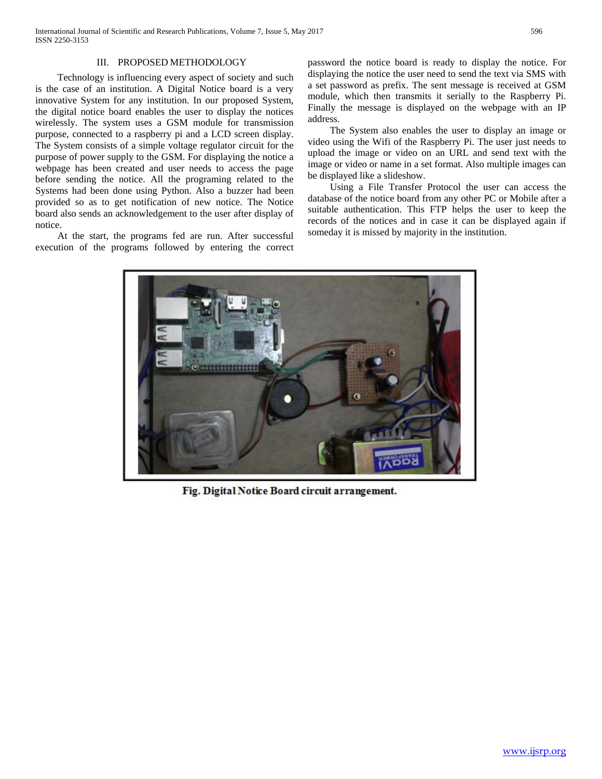#### III. PROPOSED METHODOLOGY

 Technology is influencing every aspect of society and such is the case of an institution. A Digital Notice board is a very innovative System for any institution. In our proposed System, the digital notice board enables the user to display the notices wirelessly. The system uses a GSM module for transmission purpose, connected to a raspberry pi and a LCD screen display. The System consists of a simple voltage regulator circuit for the purpose of power supply to the GSM. For displaying the notice a webpage has been created and user needs to access the page before sending the notice. All the programing related to the Systems had been done using Python. Also a buzzer had been provided so as to get notification of new notice. The Notice board also sends an acknowledgement to the user after display of notice.

 At the start, the programs fed are run. After successful execution of the programs followed by entering the correct password the notice board is ready to display the notice. For displaying the notice the user need to send the text via SMS with a set password as prefix. The sent message is received at GSM module, which then transmits it serially to the Raspberry Pi. Finally the message is displayed on the webpage with an IP address.

 The System also enables the user to display an image or video using the Wifi of the Raspberry Pi. The user just needs to upload the image or video on an URL and send text with the image or video or name in a set format. Also multiple images can be displayed like a slideshow.

 Using a File Transfer Protocol the user can access the database of the notice board from any other PC or Mobile after a suitable authentication. This FTP helps the user to keep the records of the notices and in case it can be displayed again if someday it is missed by majority in the institution.



Fig. Digital Notice Board circuit arrangement.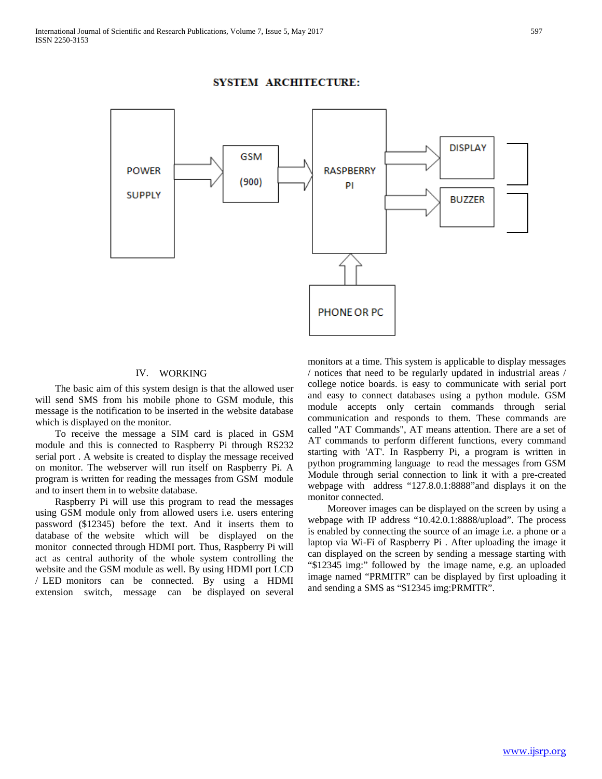

## **SYSTEM ARCHITECTURE:**

#### IV. WORKING

 The basic aim of this system design is that the allowed user will send SMS from his mobile phone to GSM module, this message is the notification to be inserted in the website database which is displayed on the monitor.

 To receive the message a SIM card is placed in GSM module and this is connected to Raspberry Pi through RS232 serial port . A website is created to display the message received on monitor. The webserver will run itself on Raspberry Pi. A program is written for reading the messages from GSM module and to insert them in to website database.

 Raspberry Pi will use this program to read the messages using GSM module only from allowed users i.e. users entering password (\$12345) before the text. And it inserts them to database of the website which will be displayed on the monitor connected through HDMI port. Thus, Raspberry Pi will act as central authority of the whole system controlling the website and the GSM module as well. By using HDMI port LCD / LED monitors can be connected. By using a HDMI extension switch, message can be displayed on several

monitors at a time. This system is applicable to display messages / notices that need to be regularly updated in industrial areas / college notice boards. is easy to communicate with serial port and easy to connect databases using a python module. GSM module accepts only certain commands through serial communication and responds to them. These commands are called "AT Commands", AT means attention. There are a set of AT commands to perform different functions, every command starting with 'AT'. In Raspberry Pi, a program is written in python programming language to read the messages from GSM Module through serial connection to link it with a pre-created webpage with address "127.8.0.1:8888"and displays it on the monitor connected.

 Moreover images can be displayed on the screen by using a webpage with IP address "10.42.0.1:8888/upload". The process is enabled by connecting the source of an image i.e. a phone or a laptop via Wi-Fi of Raspberry Pi . After uploading the image it can displayed on the screen by sending a message starting with "\$12345 img:" followed by the image name, e.g. an uploaded image named "PRMITR" can be displayed by first uploading it and sending a SMS as "\$12345 img:PRMITR".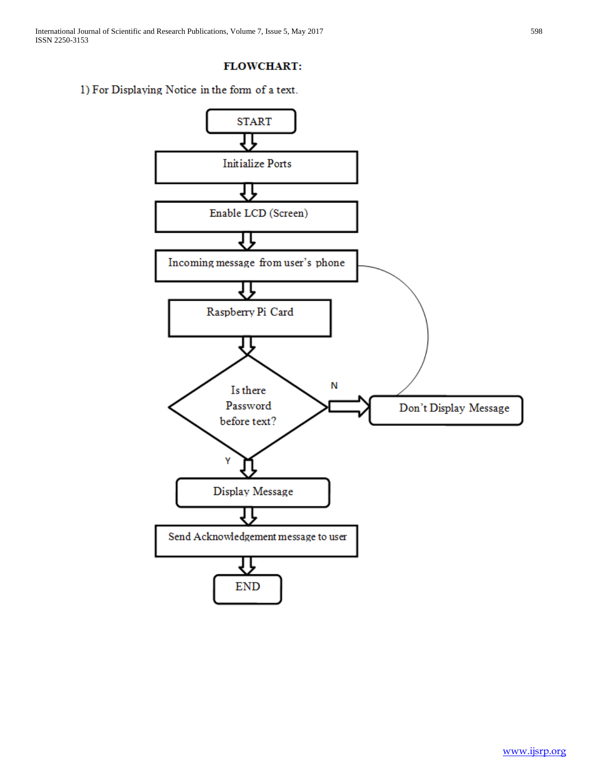# **FLOWCHART:**

1) For Displaying Notice in the form of a text.

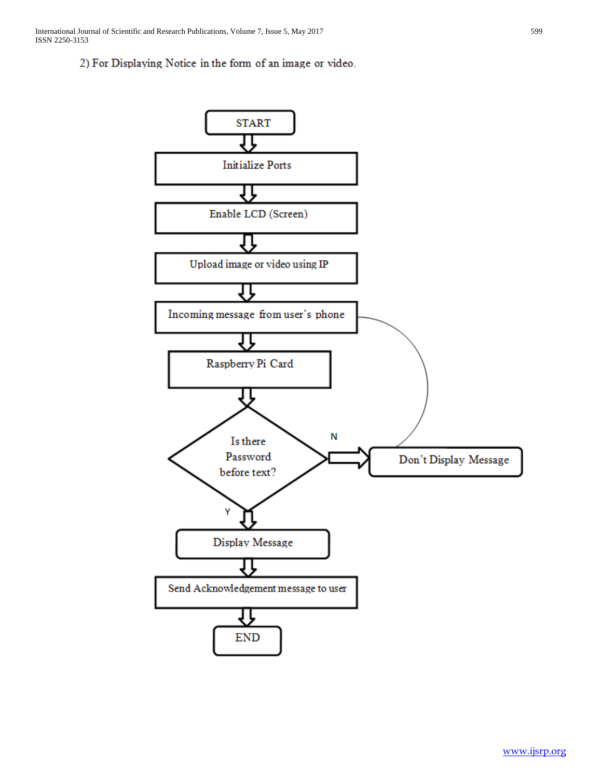# 2) For Displaying Notice in the form of an image or video.

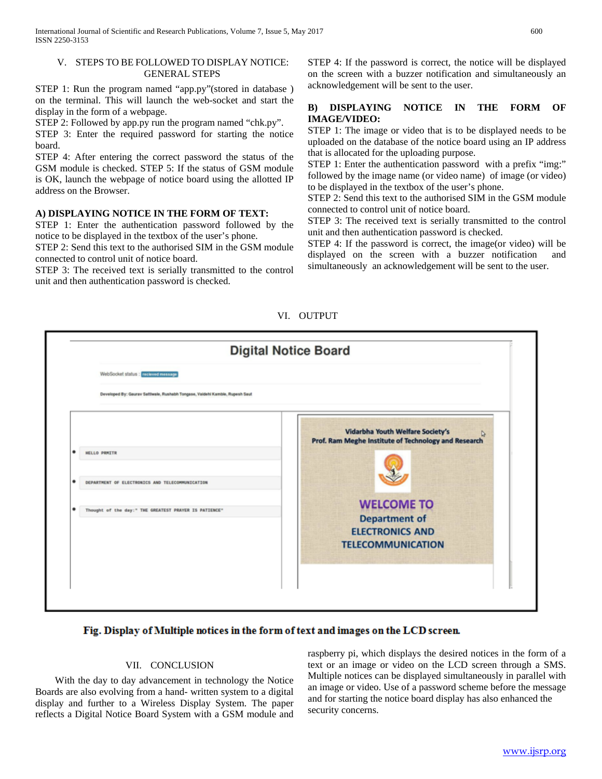#### V. STEPS TO BE FOLLOWED TO DISPLAY NOTICE: GENERAL STEPS

STEP 1: Run the program named "app.py"(stored in database ) on the terminal. This will launch the web-socket and start the display in the form of a webpage.

STEP 2: Followed by app.py run the program named "chk.py".

STEP 3: Enter the required password for starting the notice board.

STEP 4: After entering the correct password the status of the GSM module is checked. STEP 5: If the status of GSM module is OK, launch the webpage of notice board using the allotted IP address on the Browser.

## **A) DISPLAYING NOTICE IN THE FORM OF TEXT:**

STEP 1: Enter the authentication password followed by the notice to be displayed in the textbox of the user's phone.

STEP 2: Send this text to the authorised SIM in the GSM module connected to control unit of notice board.

STEP 3: The received text is serially transmitted to the control unit and then authentication password is checked.

STEP 4: If the password is correct, the notice will be displayed on the screen with a buzzer notification and simultaneously an acknowledgement will be sent to the user.

## **B) DISPLAYING NOTICE IN THE FORM OF IMAGE/VIDEO:**

STEP 1: The image or video that is to be displayed needs to be uploaded on the database of the notice board using an IP address that is allocated for the uploading purpose.

STEP 1: Enter the authentication password with a prefix "img:" followed by the image name (or video name) of image (or video) to be displayed in the textbox of the user's phone.

STEP 2: Send this text to the authorised SIM in the GSM module connected to control unit of notice board.

STEP 3: The received text is serially transmitted to the control unit and then authentication password is checked.

STEP 4: If the password is correct, the image(or video) will be displayed on the screen with a buzzer notification and simultaneously an acknowledgement will be sent to the user.





## Fig. Display of Multiple notices in the form of text and images on the LCD screen.

#### VII. CONCLUSION

 With the day to day advancement in technology the Notice Boards are also evolving from a hand- written system to a digital display and further to a Wireless Display System. The paper reflects a Digital Notice Board System with a GSM module and

raspberry pi, which displays the desired notices in the form of a text or an image or video on the LCD screen through a SMS. Multiple notices can be displayed simultaneously in parallel with an image or video. Use of a password scheme before the message and for starting the notice board display has also enhanced the security concerns.